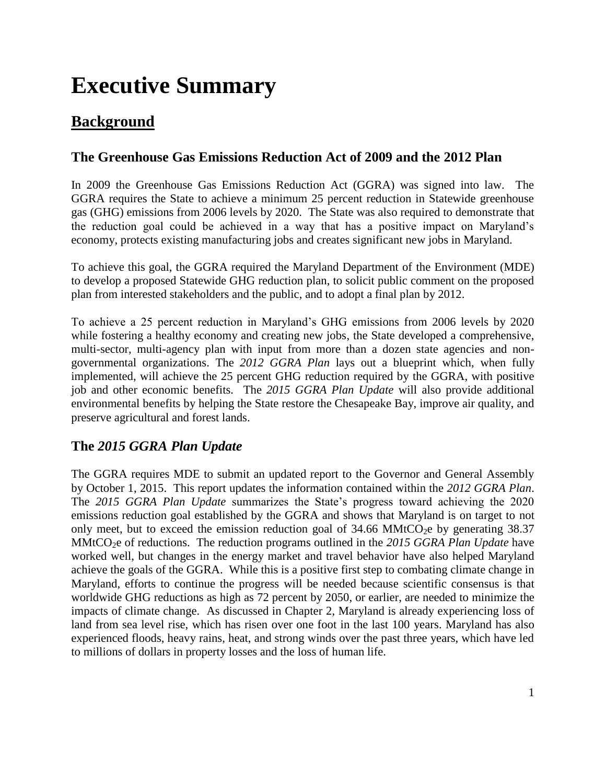# **Executive Summary**

# **Background**

#### **The Greenhouse Gas Emissions Reduction Act of 2009 and the 2012 Plan**

In 2009 the Greenhouse Gas Emissions Reduction Act (GGRA) was signed into law. The GGRA requires the State to achieve a minimum 25 percent reduction in Statewide greenhouse gas (GHG) emissions from 2006 levels by 2020. The State was also required to demonstrate that the reduction goal could be achieved in a way that has a positive impact on Maryland's economy, protects existing manufacturing jobs and creates significant new jobs in Maryland.

To achieve this goal, the GGRA required the Maryland Department of the Environment (MDE) to develop a proposed Statewide GHG reduction plan, to solicit public comment on the proposed plan from interested stakeholders and the public, and to adopt a final plan by 2012.

To achieve a 25 percent reduction in Maryland's GHG emissions from 2006 levels by 2020 while fostering a healthy economy and creating new jobs, the State developed a comprehensive, multi-sector, multi-agency plan with input from more than a dozen state agencies and nongovernmental organizations. The *2012 GGRA Plan* lays out a blueprint which, when fully implemented, will achieve the 25 percent GHG reduction required by the GGRA, with positive job and other economic benefits. The *2015 GGRA Plan Update* will also provide additional environmental benefits by helping the State restore the Chesapeake Bay, improve air quality, and preserve agricultural and forest lands.

#### **The** *2015 GGRA Plan Update*

The GGRA requires MDE to submit an updated report to the Governor and General Assembly by October 1, 2015. This report updates the information contained within the *2012 GGRA Plan*. The *2015 GGRA Plan Update* summarizes the State's progress toward achieving the 2020 emissions reduction goal established by the GGRA and shows that Maryland is on target to not only meet, but to exceed the emission reduction goal of  $34.66$  MMtCO<sub>2</sub>e by generating  $38.37$ MMtCO2e of reductions. The reduction programs outlined in the *2015 GGRA Plan Update* have worked well, but changes in the energy market and travel behavior have also helped Maryland achieve the goals of the GGRA. While this is a positive first step to combating climate change in Maryland, efforts to continue the progress will be needed because scientific consensus is that worldwide GHG reductions as high as 72 percent by 2050, or earlier, are needed to minimize the impacts of climate change. As discussed in Chapter 2, Maryland is already experiencing loss of land from sea level rise, which has risen over one foot in the last 100 years. Maryland has also experienced floods, heavy rains, heat, and strong winds over the past three years, which have led to millions of dollars in property losses and the loss of human life.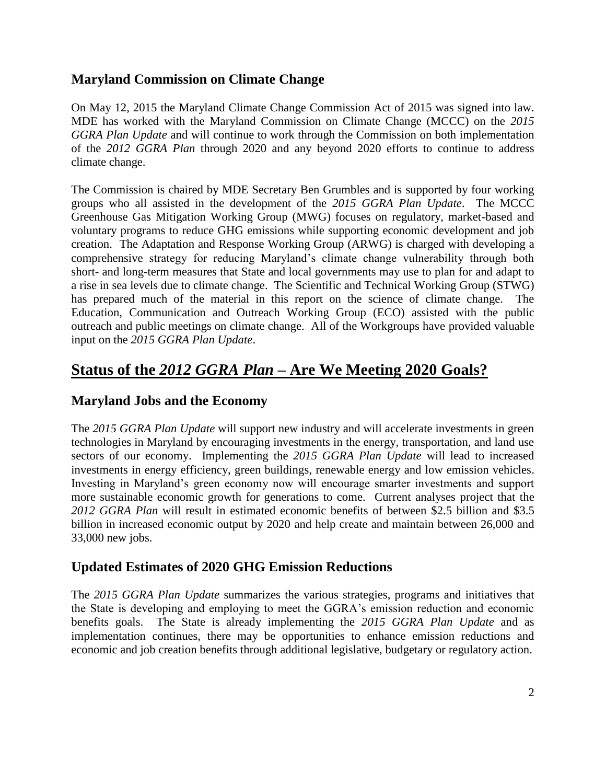#### **Maryland Commission on Climate Change**

On May 12, 2015 the Maryland Climate Change Commission Act of 2015 was signed into law. MDE has worked with the Maryland Commission on Climate Change (MCCC) on the *2015 GGRA Plan Update* and will continue to work through the Commission on both implementation of the *2012 GGRA Plan* through 2020 and any beyond 2020 efforts to continue to address climate change.

The Commission is chaired by MDE Secretary Ben Grumbles and is supported by four working groups who all assisted in the development of the *2015 GGRA Plan Update*. The MCCC Greenhouse Gas Mitigation Working Group (MWG) focuses on regulatory, market-based and voluntary programs to reduce GHG emissions while supporting economic development and job creation. The Adaptation and Response Working Group (ARWG) is charged with developing a comprehensive strategy for reducing Maryland's climate change vulnerability through both short- and long-term measures that State and local governments may use to plan for and adapt to a rise in sea levels due to climate change. The Scientific and Technical Working Group (STWG) has prepared much of the material in this report on the science of climate change. The Education, Communication and Outreach Working Group (ECO) assisted with the public outreach and public meetings on climate change. All of the Workgroups have provided valuable input on the *2015 GGRA Plan Update*.

# **Status of the** *2012 GGRA Plan* **– Are We Meeting 2020 Goals?**

#### **Maryland Jobs and the Economy**

The *2015 GGRA Plan Update* will support new industry and will accelerate investments in green technologies in Maryland by encouraging investments in the energy, transportation, and land use sectors of our economy. Implementing the *2015 GGRA Plan Update* will lead to increased investments in energy efficiency, green buildings, renewable energy and low emission vehicles. Investing in Maryland's green economy now will encourage smarter investments and support more sustainable economic growth for generations to come. Current analyses project that the *2012 GGRA Plan* will result in estimated economic benefits of between \$2.5 billion and \$3.5 billion in increased economic output by 2020 and help create and maintain between 26,000 and 33,000 new jobs.

#### **Updated Estimates of 2020 GHG Emission Reductions**

The *2015 GGRA Plan Update* summarizes the various strategies, programs and initiatives that the State is developing and employing to meet the GGRA's emission reduction and economic benefits goals. The State is already implementing the *2015 GGRA Plan Update* and as implementation continues, there may be opportunities to enhance emission reductions and economic and job creation benefits through additional legislative, budgetary or regulatory action.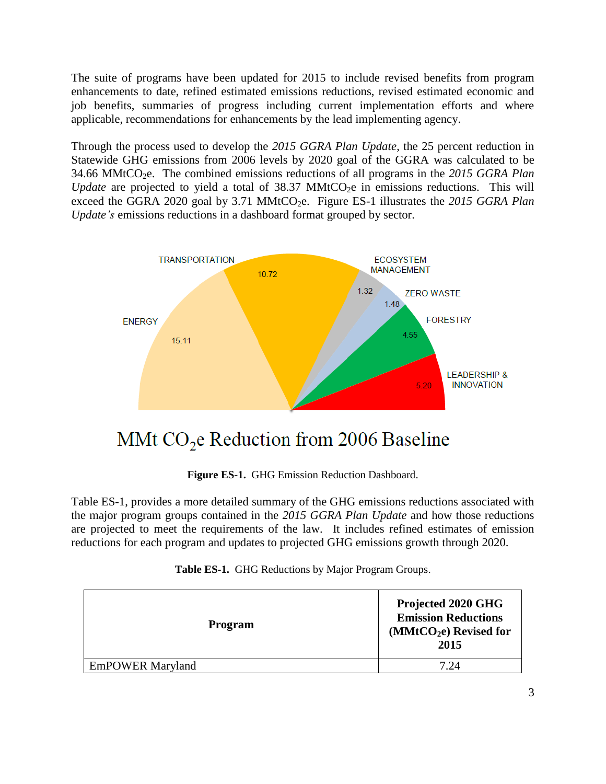The suite of programs have been updated for 2015 to include revised benefits from program enhancements to date, refined estimated emissions reductions, revised estimated economic and job benefits, summaries of progress including current implementation efforts and where applicable, recommendations for enhancements by the lead implementing agency.

Through the process used to develop the *2015 GGRA Plan Update*, the 25 percent reduction in Statewide GHG emissions from 2006 levels by 2020 goal of the GGRA was calculated to be 34.66 MMtCO2e. The combined emissions reductions of all programs in the *2015 GGRA Plan Update* are projected to yield a total of 38.37 MMtCO<sub>2</sub>e in emissions reductions. This will exceed the GGRA 2020 goal by 3.71 MMtCO<sub>2</sub>e. Figure ES-1 illustrates the 2015 GGRA Plan *Update's* emissions reductions in a dashboard format grouped by sector.



# MMt  $CO<sub>2</sub>e$  Reduction from 2006 Baseline

**Figure ES-1.** GHG Emission Reduction Dashboard.

Table ES-1, provides a more detailed summary of the GHG emissions reductions associated with the major program groups contained in the *2015 GGRA Plan Update* and how those reductions are projected to meet the requirements of the law. It includes refined estimates of emission reductions for each program and updates to projected GHG emissions growth through 2020.

|  | Table ES-1. GHG Reductions by Major Program Groups. |  |  |  |
|--|-----------------------------------------------------|--|--|--|
|--|-----------------------------------------------------|--|--|--|

| <b>Program</b>          | Projected 2020 GHG<br><b>Emission Reductions</b><br>$(MMtCO2e)$ Revised for<br>2015 |
|-------------------------|-------------------------------------------------------------------------------------|
| <b>EmPOWER Maryland</b> | 7 94                                                                                |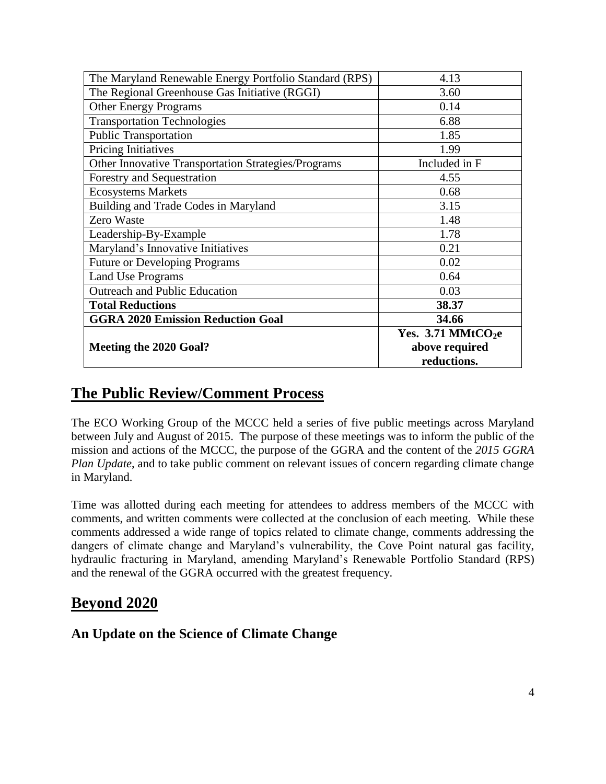| The Maryland Renewable Energy Portfolio Standard (RPS) | 4.13                             |  |
|--------------------------------------------------------|----------------------------------|--|
| The Regional Greenhouse Gas Initiative (RGGI)          | 3.60                             |  |
| <b>Other Energy Programs</b>                           | 0.14                             |  |
| <b>Transportation Technologies</b>                     | 6.88                             |  |
| <b>Public Transportation</b>                           | 1.85                             |  |
| Pricing Initiatives                                    | 1.99                             |  |
| Other Innovative Transportation Strategies/Programs    | Included in F                    |  |
| Forestry and Sequestration                             | 4.55                             |  |
| <b>Ecosystems Markets</b>                              | 0.68                             |  |
| Building and Trade Codes in Maryland                   | 3.15                             |  |
| Zero Waste                                             | 1.48                             |  |
| Leadership-By-Example                                  | 1.78                             |  |
| Maryland's Innovative Initiatives                      | 0.21                             |  |
| <b>Future or Developing Programs</b>                   | 0.02                             |  |
| <b>Land Use Programs</b>                               | 0.64                             |  |
| <b>Outreach and Public Education</b>                   | 0.03                             |  |
| <b>Total Reductions</b>                                | 38.37                            |  |
| <b>GGRA 2020 Emission Reduction Goal</b>               | 34.66                            |  |
|                                                        | Yes. $3.71$ MMtCO <sub>2</sub> e |  |
| Meeting the 2020 Goal?                                 | above required                   |  |
|                                                        | reductions.                      |  |

### **The Public Review/Comment Process**

The ECO Working Group of the MCCC held a series of five public meetings across Maryland between July and August of 2015. The purpose of these meetings was to inform the public of the mission and actions of the MCCC, the purpose of the GGRA and the content of the *2015 GGRA Plan Update*, and to take public comment on relevant issues of concern regarding climate change in Maryland.

Time was allotted during each meeting for attendees to address members of the MCCC with comments, and written comments were collected at the conclusion of each meeting. While these comments addressed a wide range of topics related to climate change, comments addressing the dangers of climate change and Maryland's vulnerability, the Cove Point natural gas facility, hydraulic fracturing in Maryland, amending Maryland's Renewable Portfolio Standard (RPS) and the renewal of the GGRA occurred with the greatest frequency.

## **Beyond 2020**

#### **An Update on the Science of Climate Change**